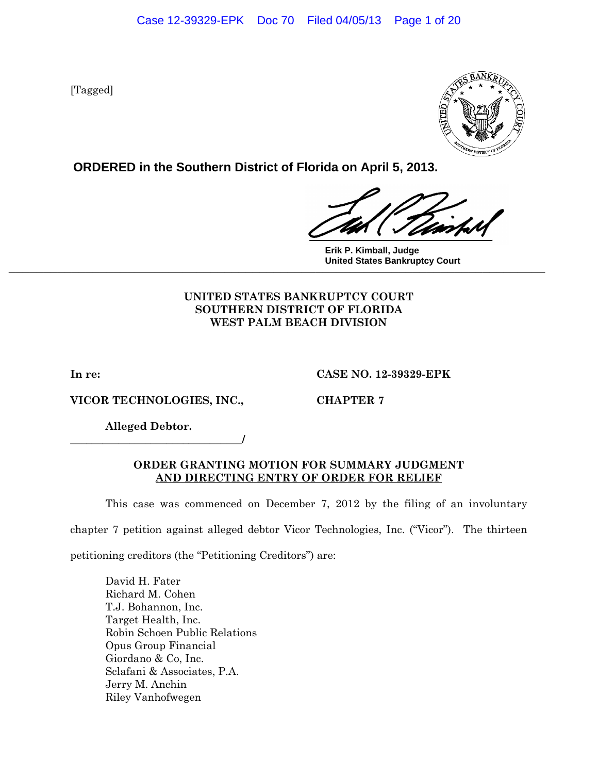[Tagged]



**ORDERED in the Southern District of Florida on April 5, 2013.**

**Erik P. Kimball, Judge United States Bankruptcy Court \_\_\_\_\_\_\_\_\_\_\_\_\_\_\_\_\_\_\_\_\_\_\_\_\_\_\_\_\_\_\_\_\_\_\_\_\_\_\_\_\_\_\_\_\_\_\_\_\_\_\_\_\_\_\_\_\_\_\_\_\_\_\_\_\_\_\_\_\_\_\_\_\_\_\_\_\_**

# **UNITED STATES BANKRUPTCY COURT SOUTHERN DISTRICT OF FLORIDA WEST PALM BEACH DIVISION**

**VICOR TECHNOLOGIES, INC., CHAPTER 7** 

**In re: CASE NO. 12-39329-EPK** 

**Alleged Debtor.** 

**\_\_\_\_\_\_\_\_\_\_\_\_\_\_\_\_\_\_\_\_\_\_\_\_\_\_\_\_\_\_\_\_/** 

# **ORDER GRANTING MOTION FOR SUMMARY JUDGMENT AND DIRECTING ENTRY OF ORDER FOR RELIEF**

This case was commenced on December 7, 2012 by the filing of an involuntary

chapter 7 petition against alleged debtor Vicor Technologies, Inc. ("Vicor"). The thirteen

petitioning creditors (the "Petitioning Creditors") are:

 David H. Fater Richard M. Cohen T.J. Bohannon, Inc. Target Health, Inc. Robin Schoen Public Relations Opus Group Financial Giordano & Co, Inc. Sclafani & Associates, P.A. Jerry M. Anchin Riley Vanhofwegen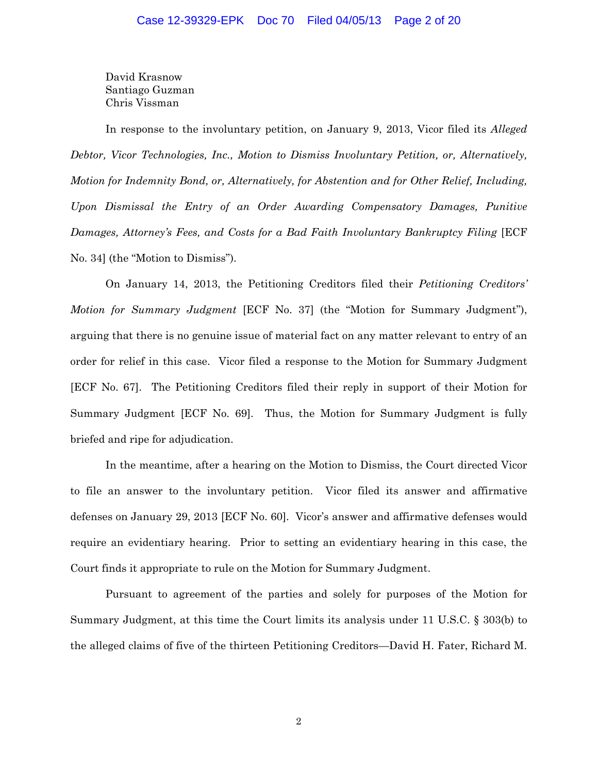David Krasnow Santiago Guzman Chris Vissman

In response to the involuntary petition, on January 9, 2013, Vicor filed its *Alleged Debtor, Vicor Technologies, Inc., Motion to Dismiss Involuntary Petition, or, Alternatively, Motion for Indemnity Bond, or, Alternatively, for Abstention and for Other Relief, Including, Upon Dismissal the Entry of an Order Awarding Compensatory Damages, Punitive Damages, Attorney's Fees, and Costs for a Bad Faith Involuntary Bankruptcy Filing* [ECF No. 34] (the "Motion to Dismiss").

On January 14, 2013, the Petitioning Creditors filed their *Petitioning Creditors' Motion for Summary Judgment* [ECF No. 37] (the "Motion for Summary Judgment"), arguing that there is no genuine issue of material fact on any matter relevant to entry of an order for relief in this case. Vicor filed a response to the Motion for Summary Judgment [ECF No. 67]. The Petitioning Creditors filed their reply in support of their Motion for Summary Judgment [ECF No. 69]. Thus, the Motion for Summary Judgment is fully briefed and ripe for adjudication.

In the meantime, after a hearing on the Motion to Dismiss, the Court directed Vicor to file an answer to the involuntary petition. Vicor filed its answer and affirmative defenses on January 29, 2013 [ECF No. 60]. Vicor's answer and affirmative defenses would require an evidentiary hearing. Prior to setting an evidentiary hearing in this case, the Court finds it appropriate to rule on the Motion for Summary Judgment.

Pursuant to agreement of the parties and solely for purposes of the Motion for Summary Judgment, at this time the Court limits its analysis under 11 U.S.C. § 303(b) to the alleged claims of five of the thirteen Petitioning Creditors—David H. Fater, Richard M.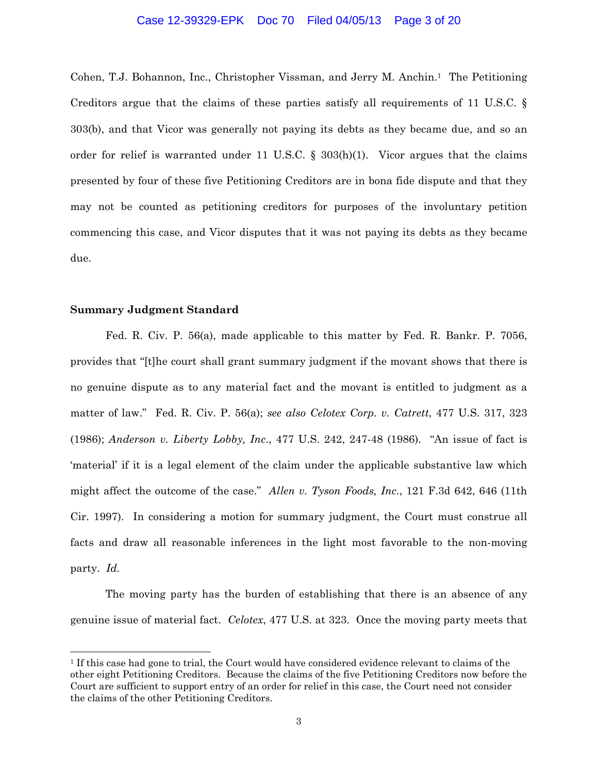## Case 12-39329-EPK Doc 70 Filed 04/05/13 Page 3 of 20

Cohen, T.J. Bohannon, Inc., Christopher Vissman, and Jerry M. Anchin.1 The Petitioning Creditors argue that the claims of these parties satisfy all requirements of 11 U.S.C. § 303(b), and that Vicor was generally not paying its debts as they became due, and so an order for relief is warranted under 11 U.S.C. §  $303(h)(1)$ . Vicor argues that the claims presented by four of these five Petitioning Creditors are in bona fide dispute and that they may not be counted as petitioning creditors for purposes of the involuntary petition commencing this case, and Vicor disputes that it was not paying its debts as they became due.

## **Summary Judgment Standard**

 $\overline{a}$ 

 Fed. R. Civ. P. 56(a), made applicable to this matter by Fed. R. Bankr. P. 7056, provides that "[t]he court shall grant summary judgment if the movant shows that there is no genuine dispute as to any material fact and the movant is entitled to judgment as a matter of law." Fed. R. Civ. P. 56(a); *see also Celotex Corp. v. Catrett*, 477 U.S. 317, 323 (1986); *Anderson v. Liberty Lobby, Inc*., 477 U.S. 242, 247-48 (1986). "An issue of fact is 'material' if it is a legal element of the claim under the applicable substantive law which might affect the outcome of the case." *Allen v. Tyson Foods, Inc*., 121 F.3d 642, 646 (11th Cir. 1997). In considering a motion for summary judgment, the Court must construe all facts and draw all reasonable inferences in the light most favorable to the non-moving party. *Id.*

The moving party has the burden of establishing that there is an absence of any genuine issue of material fact. *Celotex*, 477 U.S. at 323. Once the moving party meets that

<sup>1</sup> If this case had gone to trial, the Court would have considered evidence relevant to claims of the other eight Petitioning Creditors. Because the claims of the five Petitioning Creditors now before the Court are sufficient to support entry of an order for relief in this case, the Court need not consider the claims of the other Petitioning Creditors.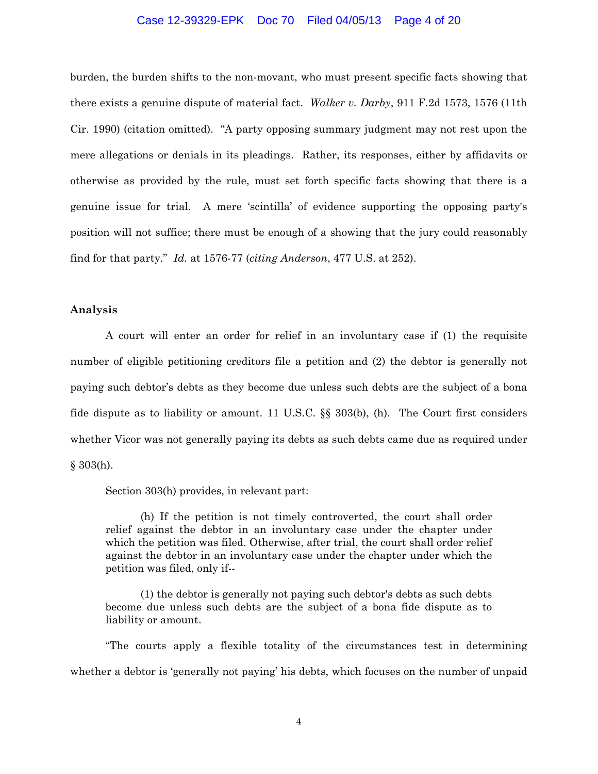## Case 12-39329-EPK Doc 70 Filed 04/05/13 Page 4 of 20

burden, the burden shifts to the non-movant, who must present specific facts showing that there exists a genuine dispute of material fact. *Walker v. Darby*, 911 F.2d 1573, 1576 (11th Cir. 1990) (citation omitted). "A party opposing summary judgment may not rest upon the mere allegations or denials in its pleadings. Rather, its responses, either by affidavits or otherwise as provided by the rule, must set forth specific facts showing that there is a genuine issue for trial. A mere 'scintilla' of evidence supporting the opposing party's position will not suffice; there must be enough of a showing that the jury could reasonably find for that party." *Id.* at 1576-77 (*citing Anderson*, 477 U.S. at 252).

## **Analysis**

A court will enter an order for relief in an involuntary case if (1) the requisite number of eligible petitioning creditors file a petition and (2) the debtor is generally not paying such debtor's debts as they become due unless such debts are the subject of a bona fide dispute as to liability or amount. 11 U.S.C. §§ 303(b), (h). The Court first considers whether Vicor was not generally paying its debts as such debts came due as required under § 303(h).

Section 303(h) provides, in relevant part:

 (h) If the petition is not timely controverted, the court shall order relief against the debtor in an involuntary case under the chapter under which the petition was filed. Otherwise, after trial, the court shall order relief against the debtor in an involuntary case under the chapter under which the petition was filed, only if--

 (1) the debtor is generally not paying such debtor's debts as such debts become due unless such debts are the subject of a bona fide dispute as to liability or amount.

"The courts apply a flexible totality of the circumstances test in determining whether a debtor is 'generally not paying' his debts, which focuses on the number of unpaid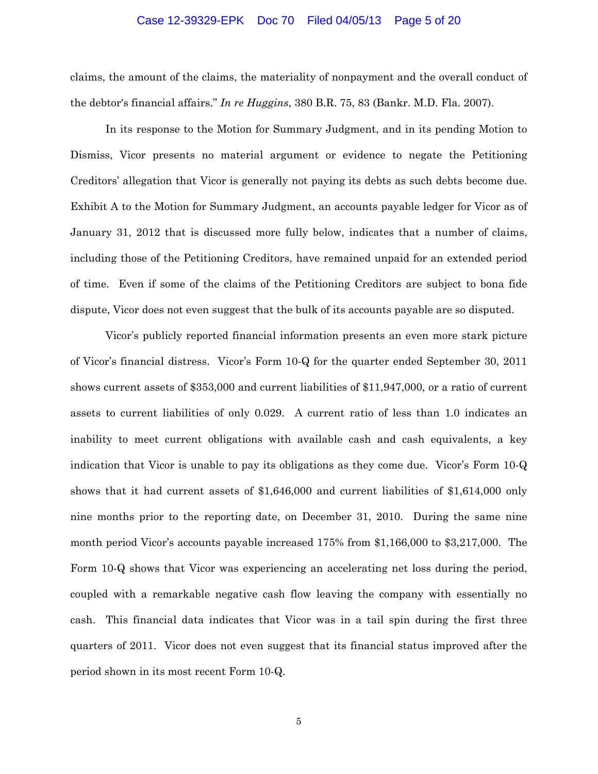#### Case 12-39329-EPK Doc 70 Filed 04/05/13 Page 5 of 20

claims, the amount of the claims, the materiality of nonpayment and the overall conduct of the debtor's financial affairs." *In re Huggins*, 380 B.R. 75, 83 (Bankr. M.D. Fla. 2007).

In its response to the Motion for Summary Judgment, and in its pending Motion to Dismiss, Vicor presents no material argument or evidence to negate the Petitioning Creditors' allegation that Vicor is generally not paying its debts as such debts become due. Exhibit A to the Motion for Summary Judgment, an accounts payable ledger for Vicor as of January 31, 2012 that is discussed more fully below, indicates that a number of claims, including those of the Petitioning Creditors, have remained unpaid for an extended period of time. Even if some of the claims of the Petitioning Creditors are subject to bona fide dispute, Vicor does not even suggest that the bulk of its accounts payable are so disputed.

Vicor's publicly reported financial information presents an even more stark picture of Vicor's financial distress. Vicor's Form 10-Q for the quarter ended September 30, 2011 shows current assets of \$353,000 and current liabilities of \$11,947,000, or a ratio of current assets to current liabilities of only 0.029. A current ratio of less than 1.0 indicates an inability to meet current obligations with available cash and cash equivalents, a key indication that Vicor is unable to pay its obligations as they come due. Vicor's Form 10-Q shows that it had current assets of \$1,646,000 and current liabilities of \$1,614,000 only nine months prior to the reporting date, on December 31, 2010. During the same nine month period Vicor's accounts payable increased 175% from \$1,166,000 to \$3,217,000. The Form 10-Q shows that Vicor was experiencing an accelerating net loss during the period, coupled with a remarkable negative cash flow leaving the company with essentially no cash. This financial data indicates that Vicor was in a tail spin during the first three quarters of 2011. Vicor does not even suggest that its financial status improved after the period shown in its most recent Form 10-Q.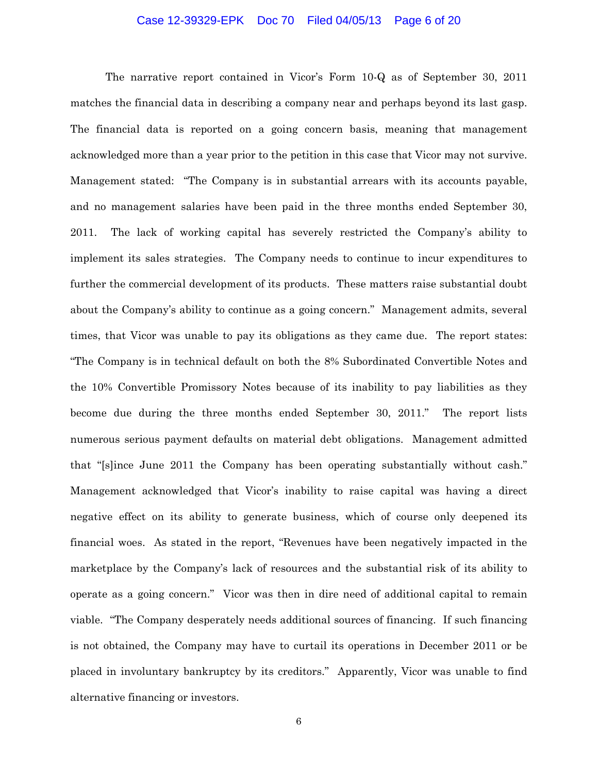## Case 12-39329-EPK Doc 70 Filed 04/05/13 Page 6 of 20

The narrative report contained in Vicor's Form 10-Q as of September 30, 2011 matches the financial data in describing a company near and perhaps beyond its last gasp. The financial data is reported on a going concern basis, meaning that management acknowledged more than a year prior to the petition in this case that Vicor may not survive. Management stated: "The Company is in substantial arrears with its accounts payable, and no management salaries have been paid in the three months ended September 30, 2011. The lack of working capital has severely restricted the Company's ability to implement its sales strategies. The Company needs to continue to incur expenditures to further the commercial development of its products. These matters raise substantial doubt about the Company's ability to continue as a going concern." Management admits, several times, that Vicor was unable to pay its obligations as they came due. The report states: "The Company is in technical default on both the 8% Subordinated Convertible Notes and the 10% Convertible Promissory Notes because of its inability to pay liabilities as they become due during the three months ended September 30, 2011." The report lists numerous serious payment defaults on material debt obligations. Management admitted that "[s]ince June 2011 the Company has been operating substantially without cash." Management acknowledged that Vicor's inability to raise capital was having a direct negative effect on its ability to generate business, which of course only deepened its financial woes. As stated in the report, "Revenues have been negatively impacted in the marketplace by the Company's lack of resources and the substantial risk of its ability to operate as a going concern." Vicor was then in dire need of additional capital to remain viable. "The Company desperately needs additional sources of financing. If such financing is not obtained, the Company may have to curtail its operations in December 2011 or be placed in involuntary bankruptcy by its creditors." Apparently, Vicor was unable to find alternative financing or investors.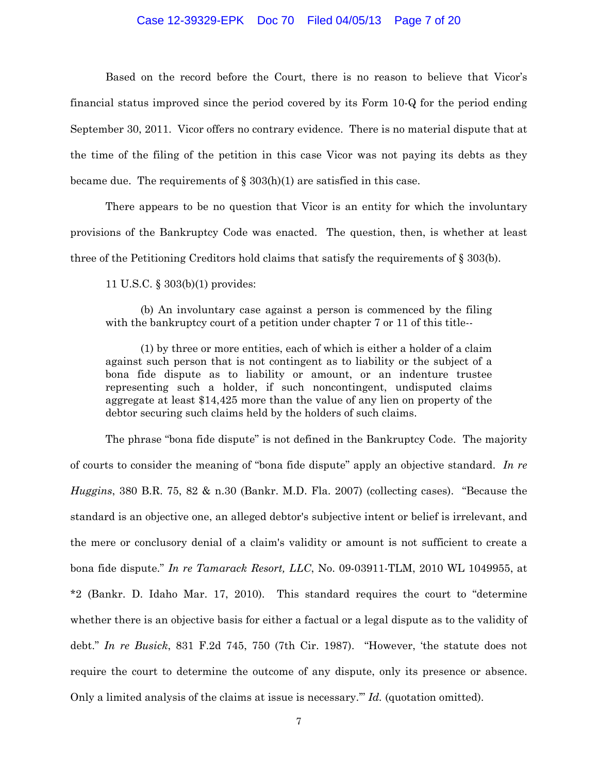## Case 12-39329-EPK Doc 70 Filed 04/05/13 Page 7 of 20

Based on the record before the Court, there is no reason to believe that Vicor's financial status improved since the period covered by its Form 10-Q for the period ending September 30, 2011. Vicor offers no contrary evidence. There is no material dispute that at the time of the filing of the petition in this case Vicor was not paying its debts as they became due. The requirements of  $\S 303(h)(1)$  are satisfied in this case.

There appears to be no question that Vicor is an entity for which the involuntary provisions of the Bankruptcy Code was enacted. The question, then, is whether at least three of the Petitioning Creditors hold claims that satisfy the requirements of § 303(b).

11 U.S.C. § 303(b)(1) provides:

 (b) An involuntary case against a person is commenced by the filing with the bankruptcy court of a petition under chapter 7 or 11 of this title--

 (1) by three or more entities, each of which is either a holder of a claim against such person that is not contingent as to liability or the subject of a bona fide dispute as to liability or amount, or an indenture trustee representing such a holder, if such noncontingent, undisputed claims aggregate at least \$14,425 more than the value of any lien on property of the debtor securing such claims held by the holders of such claims.

The phrase "bona fide dispute" is not defined in the Bankruptcy Code. The majority of courts to consider the meaning of "bona fide dispute" apply an objective standard. *In re Huggins*, 380 B.R. 75, 82 & n.30 (Bankr. M.D. Fla. 2007) (collecting cases). "Because the standard is an objective one, an alleged debtor's subjective intent or belief is irrelevant, and the mere or conclusory denial of a claim's validity or amount is not sufficient to create a bona fide dispute." *In re Tamarack Resort, LLC*, No. 09-03911-TLM, 2010 WL 1049955, at \*2 (Bankr. D. Idaho Mar. 17, 2010). This standard requires the court to "determine whether there is an objective basis for either a factual or a legal dispute as to the validity of debt." *In re Busick*, 831 F.2d 745, 750 (7th Cir. 1987). "However, 'the statute does not require the court to determine the outcome of any dispute, only its presence or absence. Only a limited analysis of the claims at issue is necessary.'" *Id.* (quotation omitted).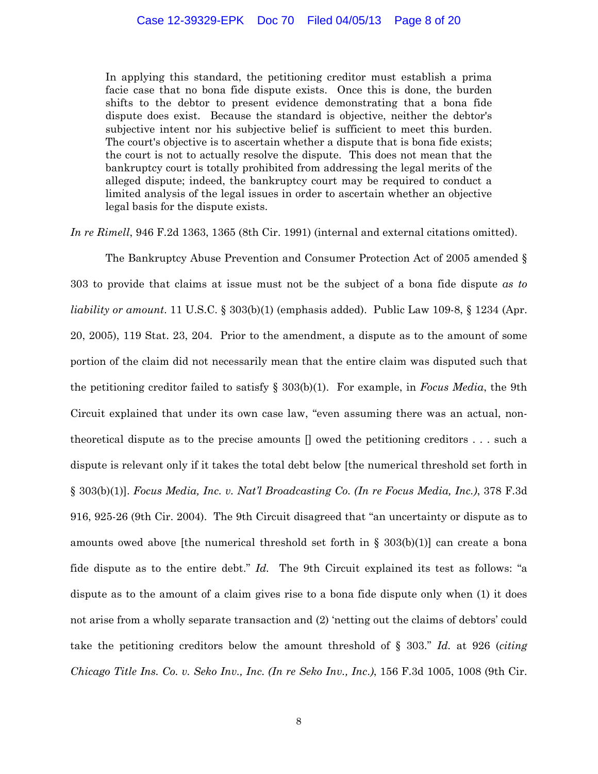In applying this standard, the petitioning creditor must establish a prima facie case that no bona fide dispute exists. Once this is done, the burden shifts to the debtor to present evidence demonstrating that a bona fide dispute does exist. Because the standard is objective, neither the debtor's subjective intent nor his subjective belief is sufficient to meet this burden. The court's objective is to ascertain whether a dispute that is bona fide exists; the court is not to actually resolve the dispute. This does not mean that the bankruptcy court is totally prohibited from addressing the legal merits of the alleged dispute; indeed, the bankruptcy court may be required to conduct a limited analysis of the legal issues in order to ascertain whether an objective legal basis for the dispute exists.

*In re Rimell*, 946 F.2d 1363, 1365 (8th Cir. 1991) (internal and external citations omitted).

The Bankruptcy Abuse Prevention and Consumer Protection Act of 2005 amended § 303 to provide that claims at issue must not be the subject of a bona fide dispute *as to liability or amount*. 11 U.S.C. § 303(b)(1) (emphasis added). Public Law 109-8, § 1234 (Apr. 20, 2005), 119 Stat. 23, 204. Prior to the amendment, a dispute as to the amount of some portion of the claim did not necessarily mean that the entire claim was disputed such that the petitioning creditor failed to satisfy § 303(b)(1). For example, in *Focus Media*, the 9th Circuit explained that under its own case law, "even assuming there was an actual, nontheoretical dispute as to the precise amounts [] owed the petitioning creditors . . . such a dispute is relevant only if it takes the total debt below [the numerical threshold set forth in § 303(b)(1)]. *Focus Media, Inc. v. Nat'l Broadcasting Co. (In re Focus Media, Inc.)*, 378 F.3d 916, 925-26 (9th Cir. 2004). The 9th Circuit disagreed that "an uncertainty or dispute as to amounts owed above [the numerical threshold set forth in  $\S$  303(b)(1)] can create a bona fide dispute as to the entire debt." *Id.* The 9th Circuit explained its test as follows: "a dispute as to the amount of a claim gives rise to a bona fide dispute only when (1) it does not arise from a wholly separate transaction and (2) 'netting out the claims of debtors' could take the petitioning creditors below the amount threshold of § 303." *Id.* at 926 (*citing Chicago Title Ins. Co. v. Seko Inv., Inc. (In re Seko Inv., Inc*.*)*, 156 F.3d 1005, 1008 (9th Cir.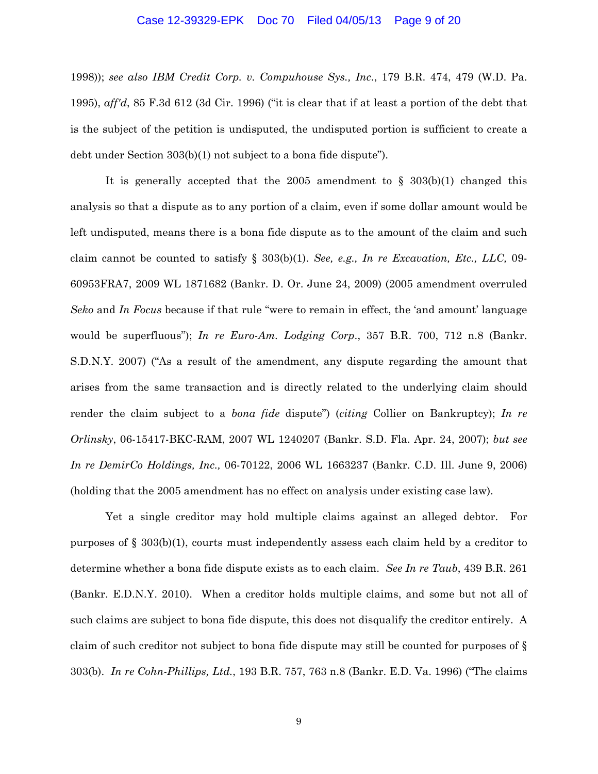### Case 12-39329-EPK Doc 70 Filed 04/05/13 Page 9 of 20

1998)); *see also IBM Credit Corp. v. Compuhouse Sys., Inc*., 179 B.R. 474, 479 (W.D. Pa. 1995), *aff'd*, 85 F.3d 612 (3d Cir. 1996) ("it is clear that if at least a portion of the debt that is the subject of the petition is undisputed, the undisputed portion is sufficient to create a debt under Section 303(b)(1) not subject to a bona fide dispute").

It is generally accepted that the 2005 amendment to § 303(b)(1) changed this analysis so that a dispute as to any portion of a claim, even if some dollar amount would be left undisputed, means there is a bona fide dispute as to the amount of the claim and such claim cannot be counted to satisfy § 303(b)(1). *See, e.g., In re Excavation, Etc., LLC,* 09- 60953FRA7, 2009 WL 1871682 (Bankr. D. Or. June 24, 2009) (2005 amendment overruled *Seko* and *In Focus* because if that rule "were to remain in effect, the 'and amount' language would be superfluous"); *In re Euro-Am. Lodging Corp*., 357 B.R. 700, 712 n.8 (Bankr. S.D.N.Y. 2007) ("As a result of the amendment, any dispute regarding the amount that arises from the same transaction and is directly related to the underlying claim should render the claim subject to a *bona fide* dispute") (*citing* Collier on Bankruptcy); *In re Orlinsky*, 06-15417-BKC-RAM, 2007 WL 1240207 (Bankr. S.D. Fla. Apr. 24, 2007); *but see In re DemirCo Holdings, Inc.,* 06-70122, 2006 WL 1663237 (Bankr. C.D. Ill. June 9, 2006) (holding that the 2005 amendment has no effect on analysis under existing case law).

Yet a single creditor may hold multiple claims against an alleged debtor. For purposes of § 303(b)(1), courts must independently assess each claim held by a creditor to determine whether a bona fide dispute exists as to each claim. *See In re Taub*, 439 B.R. 261 (Bankr. E.D.N.Y. 2010). When a creditor holds multiple claims, and some but not all of such claims are subject to bona fide dispute, this does not disqualify the creditor entirely. A claim of such creditor not subject to bona fide dispute may still be counted for purposes of § 303(b). *In re Cohn-Phillips, Ltd.*, 193 B.R. 757, 763 n.8 (Bankr. E.D. Va. 1996) ("The claims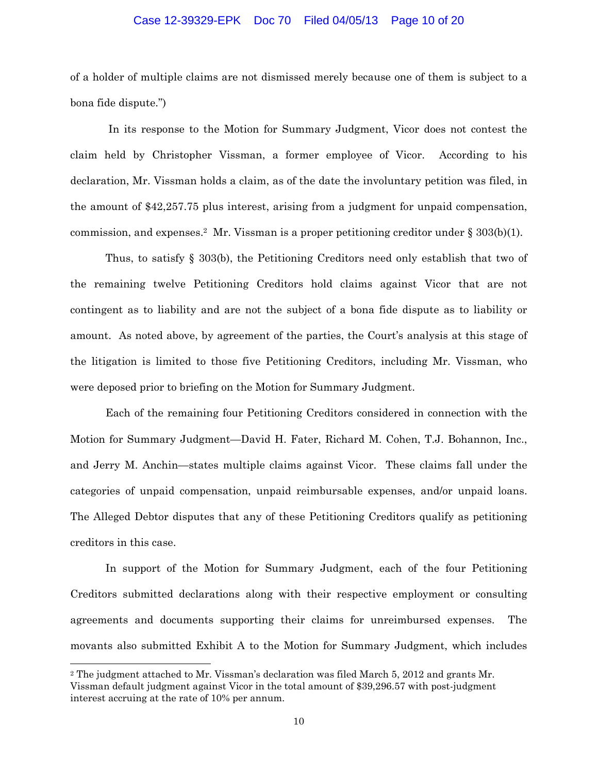## Case 12-39329-EPK Doc 70 Filed 04/05/13 Page 10 of 20

of a holder of multiple claims are not dismissed merely because one of them is subject to a bona fide dispute.")

 In its response to the Motion for Summary Judgment, Vicor does not contest the claim held by Christopher Vissman, a former employee of Vicor. According to his declaration, Mr. Vissman holds a claim, as of the date the involuntary petition was filed, in the amount of \$42,257.75 plus interest, arising from a judgment for unpaid compensation, commission, and expenses.<sup>2</sup> Mr. Vissman is a proper petitioning creditor under  $\S 303(b)(1)$ .

Thus, to satisfy § 303(b), the Petitioning Creditors need only establish that two of the remaining twelve Petitioning Creditors hold claims against Vicor that are not contingent as to liability and are not the subject of a bona fide dispute as to liability or amount. As noted above, by agreement of the parties, the Court's analysis at this stage of the litigation is limited to those five Petitioning Creditors, including Mr. Vissman, who were deposed prior to briefing on the Motion for Summary Judgment.

Each of the remaining four Petitioning Creditors considered in connection with the Motion for Summary Judgment—David H. Fater, Richard M. Cohen, T.J. Bohannon, Inc., and Jerry M. Anchin—states multiple claims against Vicor. These claims fall under the categories of unpaid compensation, unpaid reimbursable expenses, and/or unpaid loans. The Alleged Debtor disputes that any of these Petitioning Creditors qualify as petitioning creditors in this case.

In support of the Motion for Summary Judgment, each of the four Petitioning Creditors submitted declarations along with their respective employment or consulting agreements and documents supporting their claims for unreimbursed expenses. The movants also submitted Exhibit A to the Motion for Summary Judgment, which includes

 $\overline{a}$ 

<sup>2</sup> The judgment attached to Mr. Vissman's declaration was filed March 5, 2012 and grants Mr. Vissman default judgment against Vicor in the total amount of \$39,296.57 with post-judgment interest accruing at the rate of 10% per annum.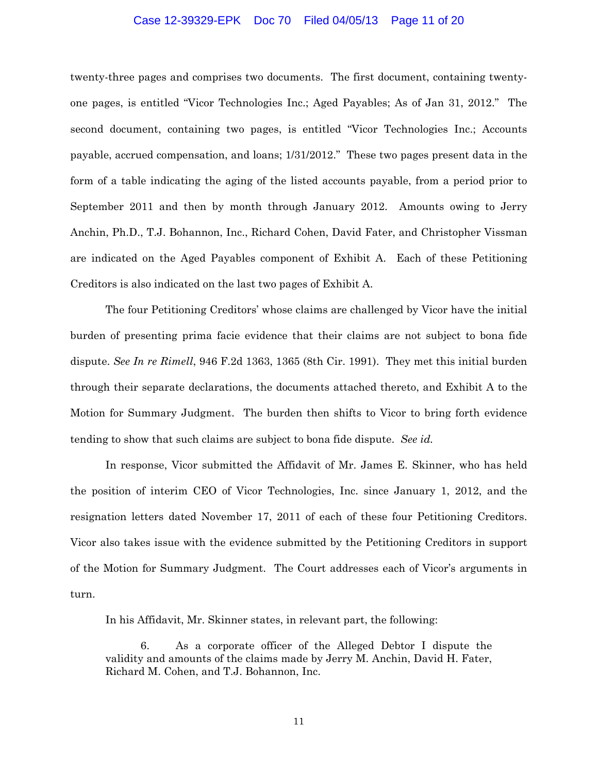## Case 12-39329-EPK Doc 70 Filed 04/05/13 Page 11 of 20

twenty-three pages and comprises two documents. The first document, containing twentyone pages, is entitled "Vicor Technologies Inc.; Aged Payables; As of Jan 31, 2012." The second document, containing two pages, is entitled "Vicor Technologies Inc.; Accounts payable, accrued compensation, and loans; 1/31/2012." These two pages present data in the form of a table indicating the aging of the listed accounts payable, from a period prior to September 2011 and then by month through January 2012. Amounts owing to Jerry Anchin, Ph.D., T.J. Bohannon, Inc., Richard Cohen, David Fater, and Christopher Vissman are indicated on the Aged Payables component of Exhibit A. Each of these Petitioning Creditors is also indicated on the last two pages of Exhibit A.

The four Petitioning Creditors' whose claims are challenged by Vicor have the initial burden of presenting prima facie evidence that their claims are not subject to bona fide dispute. *See In re Rimell*, 946 F.2d 1363, 1365 (8th Cir. 1991). They met this initial burden through their separate declarations, the documents attached thereto, and Exhibit A to the Motion for Summary Judgment. The burden then shifts to Vicor to bring forth evidence tending to show that such claims are subject to bona fide dispute. *See id.*

In response, Vicor submitted the Affidavit of Mr. James E. Skinner, who has held the position of interim CEO of Vicor Technologies, Inc. since January 1, 2012, and the resignation letters dated November 17, 2011 of each of these four Petitioning Creditors. Vicor also takes issue with the evidence submitted by the Petitioning Creditors in support of the Motion for Summary Judgment. The Court addresses each of Vicor's arguments in turn.

In his Affidavit, Mr. Skinner states, in relevant part, the following:

6. As a corporate officer of the Alleged Debtor I dispute the validity and amounts of the claims made by Jerry M. Anchin, David H. Fater, Richard M. Cohen, and T.J. Bohannon, Inc.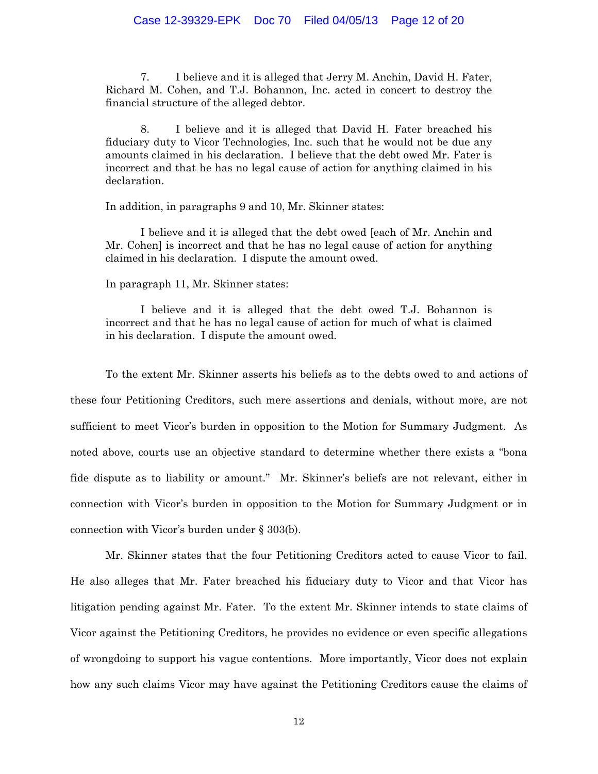7. I believe and it is alleged that Jerry M. Anchin, David H. Fater, Richard M. Cohen, and T.J. Bohannon, Inc. acted in concert to destroy the financial structure of the alleged debtor.

8. I believe and it is alleged that David H. Fater breached his fiduciary duty to Vicor Technologies, Inc. such that he would not be due any amounts claimed in his declaration. I believe that the debt owed Mr. Fater is incorrect and that he has no legal cause of action for anything claimed in his declaration.

In addition, in paragraphs 9 and 10, Mr. Skinner states:

I believe and it is alleged that the debt owed [each of Mr. Anchin and Mr. Cohen] is incorrect and that he has no legal cause of action for anything claimed in his declaration. I dispute the amount owed.

In paragraph 11, Mr. Skinner states:

I believe and it is alleged that the debt owed T.J. Bohannon is incorrect and that he has no legal cause of action for much of what is claimed in his declaration. I dispute the amount owed.

 To the extent Mr. Skinner asserts his beliefs as to the debts owed to and actions of these four Petitioning Creditors, such mere assertions and denials, without more, are not sufficient to meet Vicor's burden in opposition to the Motion for Summary Judgment. As noted above, courts use an objective standard to determine whether there exists a "bona fide dispute as to liability or amount." Mr. Skinner's beliefs are not relevant, either in connection with Vicor's burden in opposition to the Motion for Summary Judgment or in connection with Vicor's burden under § 303(b).

Mr. Skinner states that the four Petitioning Creditors acted to cause Vicor to fail. He also alleges that Mr. Fater breached his fiduciary duty to Vicor and that Vicor has litigation pending against Mr. Fater. To the extent Mr. Skinner intends to state claims of Vicor against the Petitioning Creditors, he provides no evidence or even specific allegations of wrongdoing to support his vague contentions. More importantly, Vicor does not explain how any such claims Vicor may have against the Petitioning Creditors cause the claims of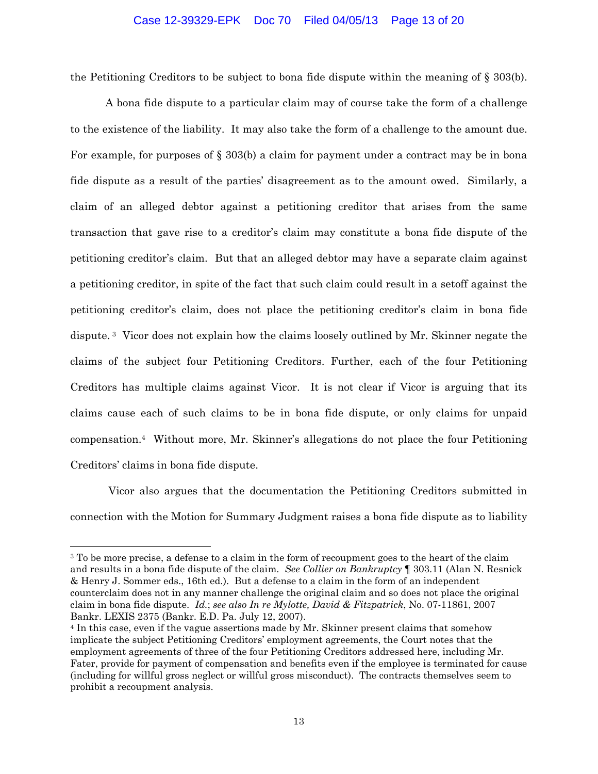## Case 12-39329-EPK Doc 70 Filed 04/05/13 Page 13 of 20

the Petitioning Creditors to be subject to bona fide dispute within the meaning of § 303(b).

 A bona fide dispute to a particular claim may of course take the form of a challenge to the existence of the liability. It may also take the form of a challenge to the amount due. For example, for purposes of  $\S 303(b)$  a claim for payment under a contract may be in bona fide dispute as a result of the parties' disagreement as to the amount owed. Similarly, a claim of an alleged debtor against a petitioning creditor that arises from the same transaction that gave rise to a creditor's claim may constitute a bona fide dispute of the petitioning creditor's claim. But that an alleged debtor may have a separate claim against a petitioning creditor, in spite of the fact that such claim could result in a setoff against the petitioning creditor's claim, does not place the petitioning creditor's claim in bona fide dispute. 3 Vicor does not explain how the claims loosely outlined by Mr. Skinner negate the claims of the subject four Petitioning Creditors. Further, each of the four Petitioning Creditors has multiple claims against Vicor. It is not clear if Vicor is arguing that its claims cause each of such claims to be in bona fide dispute, or only claims for unpaid compensation.4 Without more, Mr. Skinner's allegations do not place the four Petitioning Creditors' claims in bona fide dispute.

 Vicor also argues that the documentation the Petitioning Creditors submitted in connection with the Motion for Summary Judgment raises a bona fide dispute as to liability

 $\overline{\phantom{a}}$ 

<sup>&</sup>lt;sup>3</sup> To be more precise, a defense to a claim in the form of recoupment goes to the heart of the claim and results in a bona fide dispute of the claim. *See Collier on Bankruptcy* ¶ 303.11 (Alan N. Resnick & Henry J. Sommer eds., 16th ed.).But a defense to a claim in the form of an independent counterclaim does not in any manner challenge the original claim and so does not place the original claim in bona fide dispute. *Id.*; *see also In re Mylotte, David & Fitzpatrick*, No. 07-11861, 2007 Bankr. LEXIS 2375 (Bankr. E.D. Pa. July 12, 2007).

<sup>4</sup> In this case, even if the vague assertions made by Mr. Skinner present claims that somehow implicate the subject Petitioning Creditors' employment agreements, the Court notes that the employment agreements of three of the four Petitioning Creditors addressed here, including Mr. Fater, provide for payment of compensation and benefits even if the employee is terminated for cause (including for willful gross neglect or willful gross misconduct). The contracts themselves seem to prohibit a recoupment analysis.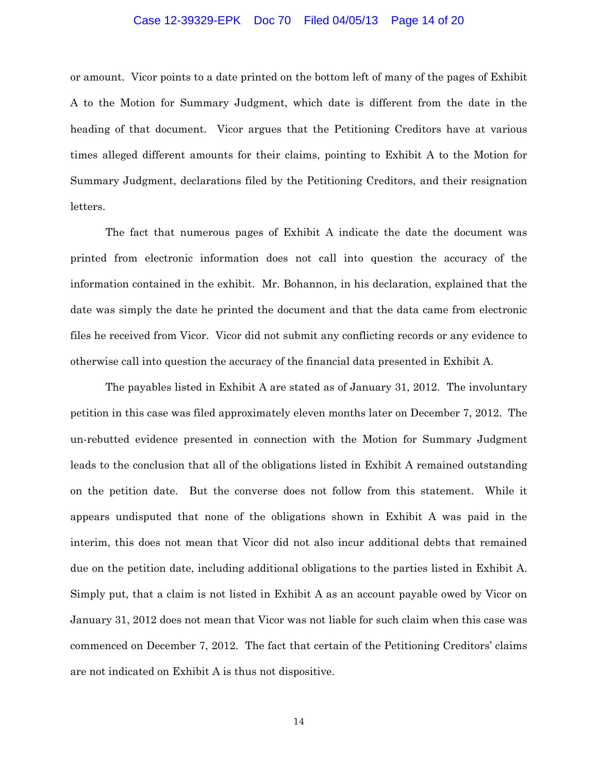## Case 12-39329-EPK Doc 70 Filed 04/05/13 Page 14 of 20

or amount. Vicor points to a date printed on the bottom left of many of the pages of Exhibit A to the Motion for Summary Judgment, which date is different from the date in the heading of that document. Vicor argues that the Petitioning Creditors have at various times alleged different amounts for their claims, pointing to Exhibit A to the Motion for Summary Judgment, declarations filed by the Petitioning Creditors, and their resignation letters.

The fact that numerous pages of Exhibit A indicate the date the document was printed from electronic information does not call into question the accuracy of the information contained in the exhibit. Mr. Bohannon, in his declaration, explained that the date was simply the date he printed the document and that the data came from electronic files he received from Vicor. Vicor did not submit any conflicting records or any evidence to otherwise call into question the accuracy of the financial data presented in Exhibit A.

The payables listed in Exhibit A are stated as of January 31, 2012. The involuntary petition in this case was filed approximately eleven months later on December 7, 2012. The un-rebutted evidence presented in connection with the Motion for Summary Judgment leads to the conclusion that all of the obligations listed in Exhibit A remained outstanding on the petition date. But the converse does not follow from this statement. While it appears undisputed that none of the obligations shown in Exhibit A was paid in the interim, this does not mean that Vicor did not also incur additional debts that remained due on the petition date, including additional obligations to the parties listed in Exhibit A. Simply put, that a claim is not listed in Exhibit A as an account payable owed by Vicor on January 31, 2012 does not mean that Vicor was not liable for such claim when this case was commenced on December 7, 2012. The fact that certain of the Petitioning Creditors' claims are not indicated on Exhibit A is thus not dispositive.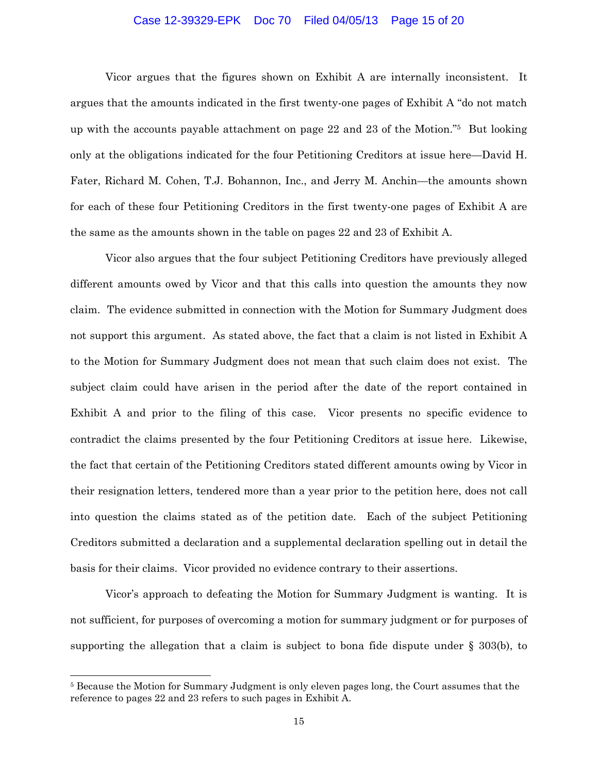## Case 12-39329-EPK Doc 70 Filed 04/05/13 Page 15 of 20

Vicor argues that the figures shown on Exhibit A are internally inconsistent. It argues that the amounts indicated in the first twenty-one pages of Exhibit A "do not match up with the accounts payable attachment on page 22 and 23 of the Motion."5 But looking only at the obligations indicated for the four Petitioning Creditors at issue here—David H. Fater, Richard M. Cohen, T.J. Bohannon, Inc., and Jerry M. Anchin—the amounts shown for each of these four Petitioning Creditors in the first twenty-one pages of Exhibit A are the same as the amounts shown in the table on pages 22 and 23 of Exhibit A.

Vicor also argues that the four subject Petitioning Creditors have previously alleged different amounts owed by Vicor and that this calls into question the amounts they now claim. The evidence submitted in connection with the Motion for Summary Judgment does not support this argument. As stated above, the fact that a claim is not listed in Exhibit A to the Motion for Summary Judgment does not mean that such claim does not exist. The subject claim could have arisen in the period after the date of the report contained in Exhibit A and prior to the filing of this case. Vicor presents no specific evidence to contradict the claims presented by the four Petitioning Creditors at issue here. Likewise, the fact that certain of the Petitioning Creditors stated different amounts owing by Vicor in their resignation letters, tendered more than a year prior to the petition here, does not call into question the claims stated as of the petition date. Each of the subject Petitioning Creditors submitted a declaration and a supplemental declaration spelling out in detail the basis for their claims. Vicor provided no evidence contrary to their assertions.

Vicor's approach to defeating the Motion for Summary Judgment is wanting. It is not sufficient, for purposes of overcoming a motion for summary judgment or for purposes of supporting the allegation that a claim is subject to bona fide dispute under  $\S$  303(b), to

l

<sup>5</sup> Because the Motion for Summary Judgment is only eleven pages long, the Court assumes that the reference to pages 22 and 23 refers to such pages in Exhibit A.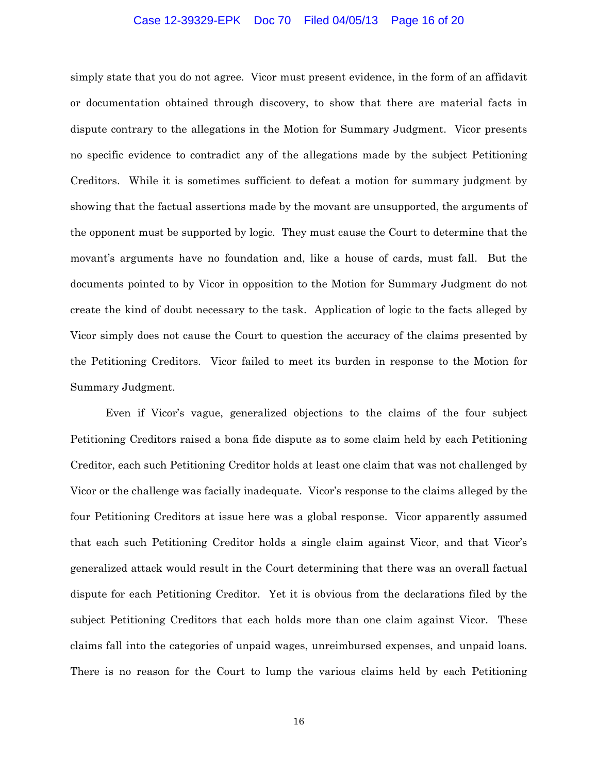## Case 12-39329-EPK Doc 70 Filed 04/05/13 Page 16 of 20

simply state that you do not agree. Vicor must present evidence, in the form of an affidavit or documentation obtained through discovery, to show that there are material facts in dispute contrary to the allegations in the Motion for Summary Judgment. Vicor presents no specific evidence to contradict any of the allegations made by the subject Petitioning Creditors. While it is sometimes sufficient to defeat a motion for summary judgment by showing that the factual assertions made by the movant are unsupported, the arguments of the opponent must be supported by logic. They must cause the Court to determine that the movant's arguments have no foundation and, like a house of cards, must fall. But the documents pointed to by Vicor in opposition to the Motion for Summary Judgment do not create the kind of doubt necessary to the task. Application of logic to the facts alleged by Vicor simply does not cause the Court to question the accuracy of the claims presented by the Petitioning Creditors. Vicor failed to meet its burden in response to the Motion for Summary Judgment.

Even if Vicor's vague, generalized objections to the claims of the four subject Petitioning Creditors raised a bona fide dispute as to some claim held by each Petitioning Creditor, each such Petitioning Creditor holds at least one claim that was not challenged by Vicor or the challenge was facially inadequate. Vicor's response to the claims alleged by the four Petitioning Creditors at issue here was a global response. Vicor apparently assumed that each such Petitioning Creditor holds a single claim against Vicor, and that Vicor's generalized attack would result in the Court determining that there was an overall factual dispute for each Petitioning Creditor. Yet it is obvious from the declarations filed by the subject Petitioning Creditors that each holds more than one claim against Vicor. These claims fall into the categories of unpaid wages, unreimbursed expenses, and unpaid loans. There is no reason for the Court to lump the various claims held by each Petitioning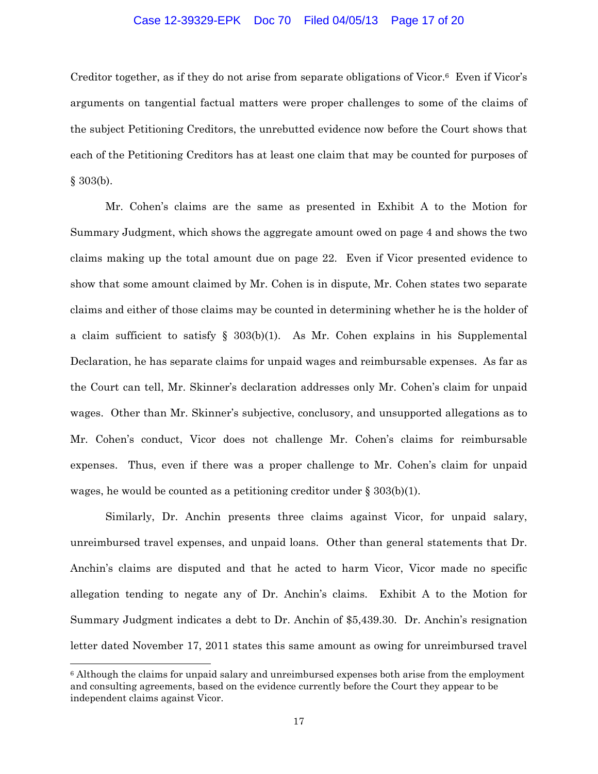## Case 12-39329-EPK Doc 70 Filed 04/05/13 Page 17 of 20

Creditor together, as if they do not arise from separate obligations of Vicor.<sup>6</sup> Even if Vicor's arguments on tangential factual matters were proper challenges to some of the claims of the subject Petitioning Creditors, the unrebutted evidence now before the Court shows that each of the Petitioning Creditors has at least one claim that may be counted for purposes of § 303(b).

Mr. Cohen's claims are the same as presented in Exhibit A to the Motion for Summary Judgment, which shows the aggregate amount owed on page 4 and shows the two claims making up the total amount due on page 22. Even if Vicor presented evidence to show that some amount claimed by Mr. Cohen is in dispute, Mr. Cohen states two separate claims and either of those claims may be counted in determining whether he is the holder of a claim sufficient to satisfy § 303(b)(1). As Mr. Cohen explains in his Supplemental Declaration, he has separate claims for unpaid wages and reimbursable expenses. As far as the Court can tell, Mr. Skinner's declaration addresses only Mr. Cohen's claim for unpaid wages. Other than Mr. Skinner's subjective, conclusory, and unsupported allegations as to Mr. Cohen's conduct, Vicor does not challenge Mr. Cohen's claims for reimbursable expenses. Thus, even if there was a proper challenge to Mr. Cohen's claim for unpaid wages, he would be counted as a petitioning creditor under  $\S 303(b)(1)$ .

 Similarly, Dr. Anchin presents three claims against Vicor, for unpaid salary, unreimbursed travel expenses, and unpaid loans. Other than general statements that Dr. Anchin's claims are disputed and that he acted to harm Vicor, Vicor made no specific allegation tending to negate any of Dr. Anchin's claims. Exhibit A to the Motion for Summary Judgment indicates a debt to Dr. Anchin of \$5,439.30. Dr. Anchin's resignation letter dated November 17, 2011 states this same amount as owing for unreimbursed travel

 $\overline{a}$ 

<sup>6</sup> Although the claims for unpaid salary and unreimbursed expenses both arise from the employment and consulting agreements, based on the evidence currently before the Court they appear to be independent claims against Vicor.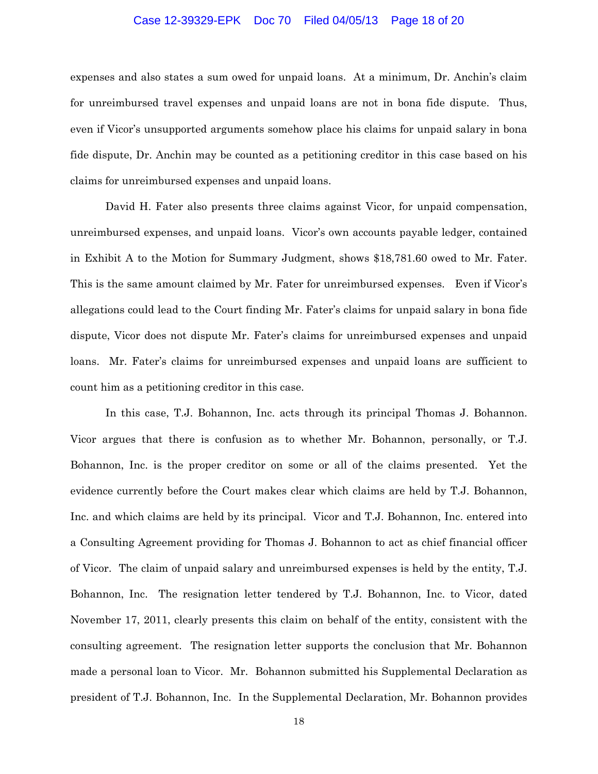## Case 12-39329-EPK Doc 70 Filed 04/05/13 Page 18 of 20

expenses and also states a sum owed for unpaid loans. At a minimum, Dr. Anchin's claim for unreimbursed travel expenses and unpaid loans are not in bona fide dispute. Thus, even if Vicor's unsupported arguments somehow place his claims for unpaid salary in bona fide dispute, Dr. Anchin may be counted as a petitioning creditor in this case based on his claims for unreimbursed expenses and unpaid loans.

 David H. Fater also presents three claims against Vicor, for unpaid compensation, unreimbursed expenses, and unpaid loans. Vicor's own accounts payable ledger, contained in Exhibit A to the Motion for Summary Judgment, shows \$18,781.60 owed to Mr. Fater. This is the same amount claimed by Mr. Fater for unreimbursed expenses. Even if Vicor's allegations could lead to the Court finding Mr. Fater's claims for unpaid salary in bona fide dispute, Vicor does not dispute Mr. Fater's claims for unreimbursed expenses and unpaid loans. Mr. Fater's claims for unreimbursed expenses and unpaid loans are sufficient to count him as a petitioning creditor in this case.

 In this case, T.J. Bohannon, Inc. acts through its principal Thomas J. Bohannon. Vicor argues that there is confusion as to whether Mr. Bohannon, personally, or T.J. Bohannon, Inc. is the proper creditor on some or all of the claims presented. Yet the evidence currently before the Court makes clear which claims are held by T.J. Bohannon, Inc. and which claims are held by its principal. Vicor and T.J. Bohannon, Inc. entered into a Consulting Agreement providing for Thomas J. Bohannon to act as chief financial officer of Vicor. The claim of unpaid salary and unreimbursed expenses is held by the entity, T.J. Bohannon, Inc. The resignation letter tendered by T.J. Bohannon, Inc. to Vicor, dated November 17, 2011, clearly presents this claim on behalf of the entity, consistent with the consulting agreement. The resignation letter supports the conclusion that Mr. Bohannon made a personal loan to Vicor. Mr. Bohannon submitted his Supplemental Declaration as president of T.J. Bohannon, Inc. In the Supplemental Declaration, Mr. Bohannon provides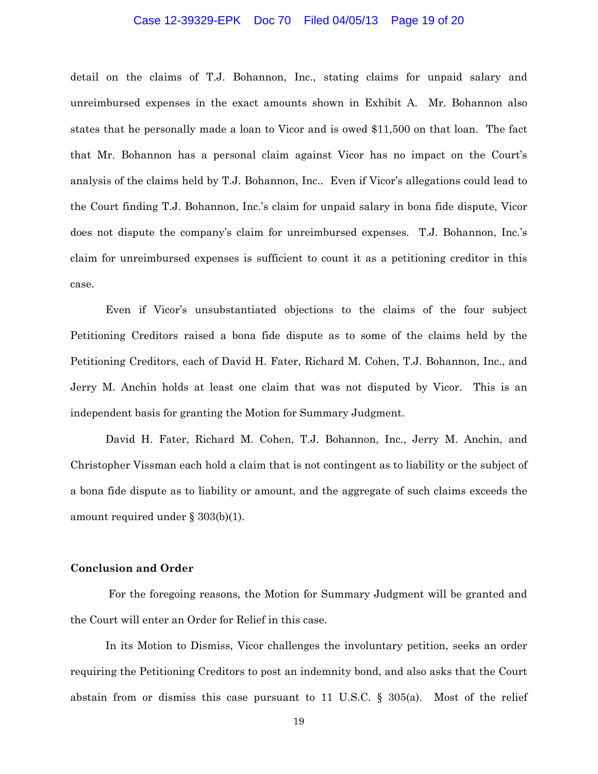## Case 12-39329-EPK Doc 70 Filed 04/05/13 Page 19 of 20

detail on the claims of T.J. Bohannon, Inc., stating claims for unpaid salary and unreimbursed expenses in the exact amounts shown in Exhibit A. Mr. Bohannon also states that he personally made a loan to Vicor and is owed \$11,500 on that loan. The fact that Mr. Bohannon has a personal claim against Vicor has no impact on the Court's analysis of the claims held by T.J. Bohannon, Inc.. Even if Vicor's allegations could lead to the Court finding T.J. Bohannon, Inc.'s claim for unpaid salary in bona fide dispute, Vicor does not dispute the company's claim for unreimbursed expenses. T.J. Bohannon, Inc.'s claim for unreimbursed expenses is sufficient to count it as a petitioning creditor in this case.

 Even if Vicor's unsubstantiated objections to the claims of the four subject Petitioning Creditors raised a bona fide dispute as to some of the claims held by the Petitioning Creditors, each of David H. Fater, Richard M. Cohen, T.J. Bohannon, Inc., and Jerry M. Anchin holds at least one claim that was not disputed by Vicor. This is an independent basis for granting the Motion for Summary Judgment.

 David H. Fater, Richard M. Cohen, T.J. Bohannon, Inc., Jerry M. Anchin, and Christopher Vissman each hold a claim that is not contingent as to liability or the subject of a bona fide dispute as to liability or amount, and the aggregate of such claims exceeds the amount required under § 303(b)(1).

## **Conclusion and Order**

 For the foregoing reasons, the Motion for Summary Judgment will be granted and the Court will enter an Order for Relief in this case.

In its Motion to Dismiss, Vicor challenges the involuntary petition, seeks an order requiring the Petitioning Creditors to post an indemnity bond, and also asks that the Court abstain from or dismiss this case pursuant to 11 U.S.C. § 305(a). Most of the relief